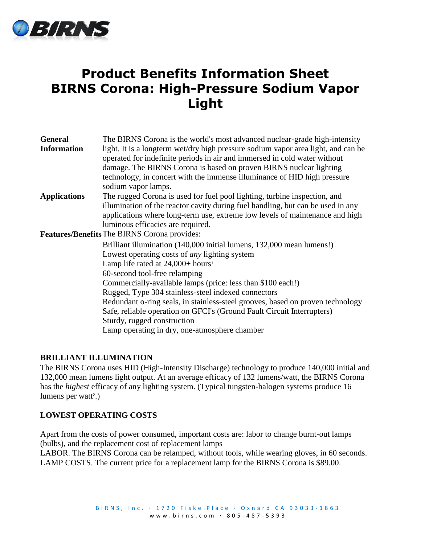

# **Product Benefits Information Sheet BIRNS Corona: High-Pressure Sodium Vapor Light**

| <b>General</b>                                      | The BIRNS Corona is the world's most advanced nuclear-grade high-intensity                                                                                     |
|-----------------------------------------------------|----------------------------------------------------------------------------------------------------------------------------------------------------------------|
| <b>Information</b>                                  | light. It is a longterm wet/dry high pressure sodium vapor area light, and can be<br>operated for indefinite periods in air and immersed in cold water without |
|                                                     | damage. The BIRNS Corona is based on proven BIRNS nuclear lighting                                                                                             |
|                                                     | technology, in concert with the immense illuminance of HID high pressure                                                                                       |
|                                                     | sodium vapor lamps.                                                                                                                                            |
| <b>Applications</b>                                 | The rugged Corona is used for fuel pool lighting, turbine inspection, and                                                                                      |
|                                                     | illumination of the reactor cavity during fuel handling, but can be used in any                                                                                |
|                                                     | applications where long-term use, extreme low levels of maintenance and high                                                                                   |
|                                                     | luminous efficacies are required.                                                                                                                              |
| <b>Features/Benefits</b> The BIRNS Corona provides: |                                                                                                                                                                |
|                                                     | Brilliant illumination (140,000 initial lumens, 132,000 mean lumens!)                                                                                          |
|                                                     | Lowest operating costs of <i>any</i> lighting system                                                                                                           |
|                                                     | Lamp life rated at $24,000+$ hours <sup>1</sup>                                                                                                                |
|                                                     | 60-second tool-free relamping                                                                                                                                  |
|                                                     | Commercially-available lamps (price: less than \$100 each!)                                                                                                    |
|                                                     | Rugged, Type 304 stainless-steel indexed connectors                                                                                                            |
|                                                     | Redundant o-ring seals, in stainless-steel grooves, based on proven technology                                                                                 |
|                                                     | Safe, reliable operation on GFCI's (Ground Fault Circuit Interrupters)                                                                                         |
|                                                     | Sturdy, rugged construction                                                                                                                                    |
|                                                     | Lamp operating in dry, one-atmosphere chamber                                                                                                                  |
|                                                     |                                                                                                                                                                |

## **BRILLIANT ILLUMINATION**

The BIRNS Corona uses HID (High-Intensity Discharge) technology to produce 140,000 initial and 132,000 mean lumens light output. At an average efficacy of 132 lumens/watt, the BIRNS Corona has the *highest* efficacy of any lighting system. (Typical tungsten-halogen systems produce 16 lumens per watt<sup>2</sup>.)

## **LOWEST OPERATING COSTS**

Apart from the costs of power consumed, important costs are: labor to change burnt-out lamps (bulbs), and the replacement cost of replacement lamps

LABOR. The BIRNS Corona can be relamped, without tools, while wearing gloves, in 60 seconds. LAMP COSTS. The current price for a replacement lamp for the BIRNS Corona is \$89.00.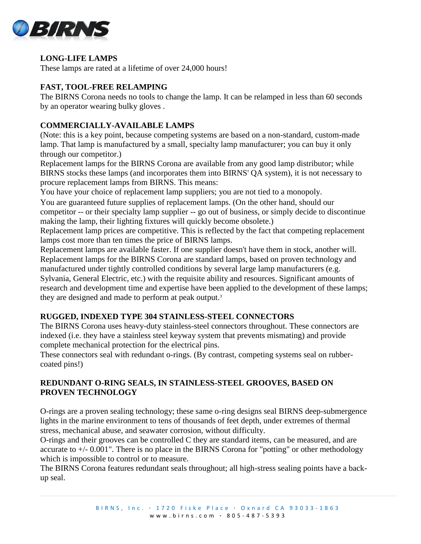

# **LONG-LIFE LAMPS**

These lamps are rated at a lifetime of over 24,000 hours!

## **FAST, TOOL-FREE RELAMPING**

The BIRNS Corona needs no tools to change the lamp. It can be relamped in less than 60 seconds by an operator wearing bulky gloves .

# **COMMERCIALLY-AVAILABLE LAMPS**

(Note: this is a key point, because competing systems are based on a non-standard, custom-made lamp. That lamp is manufactured by a small, specialty lamp manufacturer; you can buy it only through our competitor.)

Replacement lamps for the BIRNS Corona are available from any good lamp distributor; while BIRNS stocks these lamps (and incorporates them into BIRNS' QA system), it is not necessary to procure replacement lamps from BIRNS. This means:

You have your choice of replacement lamp suppliers; you are not tied to a monopoly.

You are guaranteed future supplies of replacement lamps. (On the other hand, should our competitor -- or their specialty lamp supplier -- go out of business, or simply decide to discontinue making the lamp, their lighting fixtures will quickly become obsolete.)

Replacement lamp prices are competitive. This is reflected by the fact that competing replacement lamps cost more than ten times the price of BIRNS lamps.

Replacement lamps are available faster. If one supplier doesn't have them in stock, another will. Replacement lamps for the BIRNS Corona are standard lamps, based on proven technology and manufactured under tightly controlled conditions by several large lamp manufacturers (e.g.

Sylvania, General Electric, etc.) with the requisite ability and resources. Significant amounts of research and development time and expertise have been applied to the development of these lamps; they are designed and made to perform at peak output.<sup>3</sup>

# **RUGGED, INDEXED TYPE 304 STAINLESS-STEEL CONNECTORS**

The BIRNS Corona uses heavy-duty stainless-steel connectors throughout. These connectors are indexed (i.e. they have a stainless steel keyway system that prevents mismating) and provide complete mechanical protection for the electrical pins.

These connectors seal with redundant o-rings. (By contrast, competing systems seal on rubbercoated pins!)

# **REDUNDANT O-RING SEALS, IN STAINLESS-STEEL GROOVES, BASED ON PROVEN TECHNOLOGY**

O-rings are a proven sealing technology; these same o-ring designs seal BIRNS deep-submergence lights in the marine environment to tens of thousands of feet depth, under extremes of thermal stress, mechanical abuse, and seawater corrosion, without difficulty.

O-rings and their grooves can be controlled C they are standard items, can be measured, and are accurate to  $+/- 0.001$ ". There is no place in the BIRNS Corona for "potting" or other methodology which is impossible to control or to measure.

The BIRNS Corona features redundant seals throughout; all high-stress sealing points have a backup seal.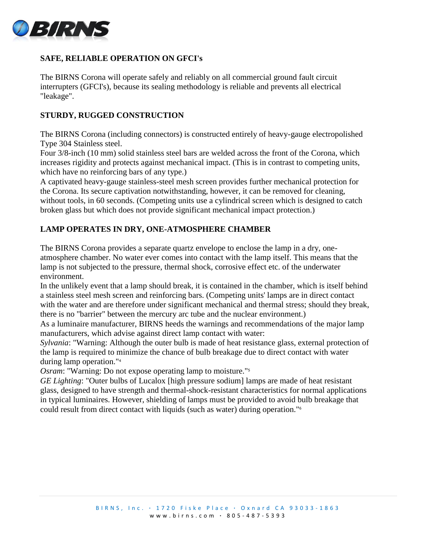

# **SAFE, RELIABLE OPERATION ON GFCI's**

The BIRNS Corona will operate safely and reliably on all commercial ground fault circuit interrupters (GFCI's), because its sealing methodology is reliable and prevents all electrical "leakage".

## **STURDY, RUGGED CONSTRUCTION**

The BIRNS Corona (including connectors) is constructed entirely of heavy-gauge electropolished Type 304 Stainless steel.

Four 3/8-inch (10 mm) solid stainless steel bars are welded across the front of the Corona, which increases rigidity and protects against mechanical impact. (This is in contrast to competing units, which have no reinforcing bars of any type.)

A captivated heavy-gauge stainless-steel mesh screen provides further mechanical protection for the Corona. Its secure captivation notwithstanding, however, it can be removed for cleaning, without tools, in 60 seconds. (Competing units use a cylindrical screen which is designed to catch broken glass but which does not provide significant mechanical impact protection.)

## **LAMP OPERATES IN DRY, ONE-ATMOSPHERE CHAMBER**

The BIRNS Corona provides a separate quartz envelope to enclose the lamp in a dry, oneatmosphere chamber. No water ever comes into contact with the lamp itself. This means that the lamp is not subjected to the pressure, thermal shock, corrosive effect etc. of the underwater environment.

In the unlikely event that a lamp should break, it is contained in the chamber, which is itself behind a stainless steel mesh screen and reinforcing bars. (Competing units' lamps are in direct contact with the water and are therefore under significant mechanical and thermal stress; should they break, there is no "barrier" between the mercury arc tube and the nuclear environment.)

As a luminaire manufacturer, BIRNS heeds the warnings and recommendations of the major lamp manufacturers, which advise against direct lamp contact with water:

*Sylvania*: "Warning: Although the outer bulb is made of heat resistance glass, external protection of the lamp is required to minimize the chance of bulb breakage due to direct contact with water during lamp operation."<sup>4</sup>

*Osram*: "Warning: Do not expose operating lamp to moisture."<sup>5</sup>

*GE Lighting*: "Outer bulbs of Lucalox [high pressure sodium] lamps are made of heat resistant glass, designed to have strength and thermal-shock-resistant characteristics for normal applications in typical luminaires. However, shielding of lamps must be provided to avoid bulb breakage that could result from direct contact with liquids (such as water) during operation."6